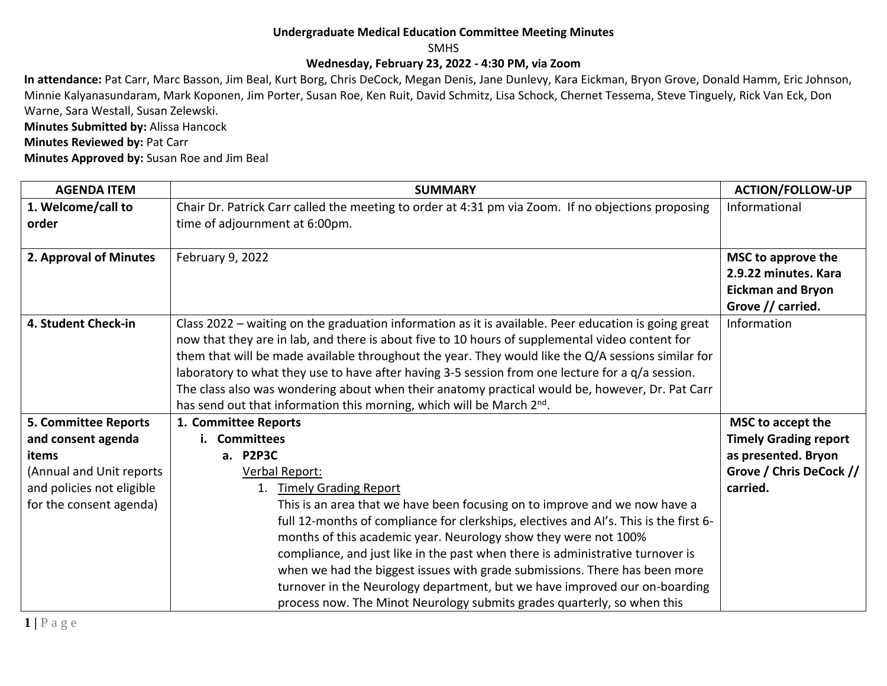## **Undergraduate Medical Education Committee Meeting Minutes**

SMHS

## **Wednesday, February 23, 2022 - 4:30 PM, via Zoom**

**In attendance:** Pat Carr, Marc Basson, Jim Beal, Kurt Borg, Chris DeCock, Megan Denis, Jane Dunlevy, Kara Eickman, Bryon Grove, Donald Hamm, Eric Johnson, Minnie Kalyanasundaram, Mark Koponen, Jim Porter, Susan Roe, Ken Ruit, David Schmitz, Lisa Schock, Chernet Tessema, Steve Tinguely, Rick Van Eck, Don Warne, Sara Westall, Susan Zelewski.

**Minutes Submitted by:** Alissa Hancock

**Minutes Reviewed by: Pat Carr** 

**Minutes Approved by:** Susan Roe and Jim Beal

| <b>AGENDA ITEM</b>          | <b>SUMMARY</b>                                                                                       | <b>ACTION/FOLLOW-UP</b>      |
|-----------------------------|------------------------------------------------------------------------------------------------------|------------------------------|
| 1. Welcome/call to          | Chair Dr. Patrick Carr called the meeting to order at 4:31 pm via Zoom. If no objections proposing   | Informational                |
| order                       | time of adjournment at 6:00pm.                                                                       |                              |
|                             |                                                                                                      |                              |
| 2. Approval of Minutes      | February 9, 2022                                                                                     | MSC to approve the           |
|                             |                                                                                                      | 2.9.22 minutes. Kara         |
|                             |                                                                                                      | <b>Eickman and Bryon</b>     |
|                             |                                                                                                      | Grove // carried.            |
| 4. Student Check-in         | Class 2022 - waiting on the graduation information as it is available. Peer education is going great | Information                  |
|                             | now that they are in lab, and there is about five to 10 hours of supplemental video content for      |                              |
|                             | them that will be made available throughout the year. They would like the Q/A sessions similar for   |                              |
|                             | laboratory to what they use to have after having 3-5 session from one lecture for a q/a session.     |                              |
|                             | The class also was wondering about when their anatomy practical would be, however, Dr. Pat Carr      |                              |
|                             | has send out that information this morning, which will be March 2 <sup>nd</sup> .                    |                              |
| <b>5. Committee Reports</b> | 1. Committee Reports                                                                                 | MSC to accept the            |
| and consent agenda          | <b>Committees</b>                                                                                    | <b>Timely Grading report</b> |
| items                       | a. P2P3C                                                                                             | as presented. Bryon          |
| (Annual and Unit reports    | Verbal Report:                                                                                       | Grove / Chris DeCock //      |
| and policies not eligible   | 1. Timely Grading Report                                                                             | carried.                     |
| for the consent agenda)     | This is an area that we have been focusing on to improve and we now have a                           |                              |
|                             | full 12-months of compliance for clerkships, electives and AI's. This is the first 6-                |                              |
|                             | months of this academic year. Neurology show they were not 100%                                      |                              |
|                             | compliance, and just like in the past when there is administrative turnover is                       |                              |
|                             | when we had the biggest issues with grade submissions. There has been more                           |                              |
|                             | turnover in the Neurology department, but we have improved our on-boarding                           |                              |
|                             | process now. The Minot Neurology submits grades quarterly, so when this                              |                              |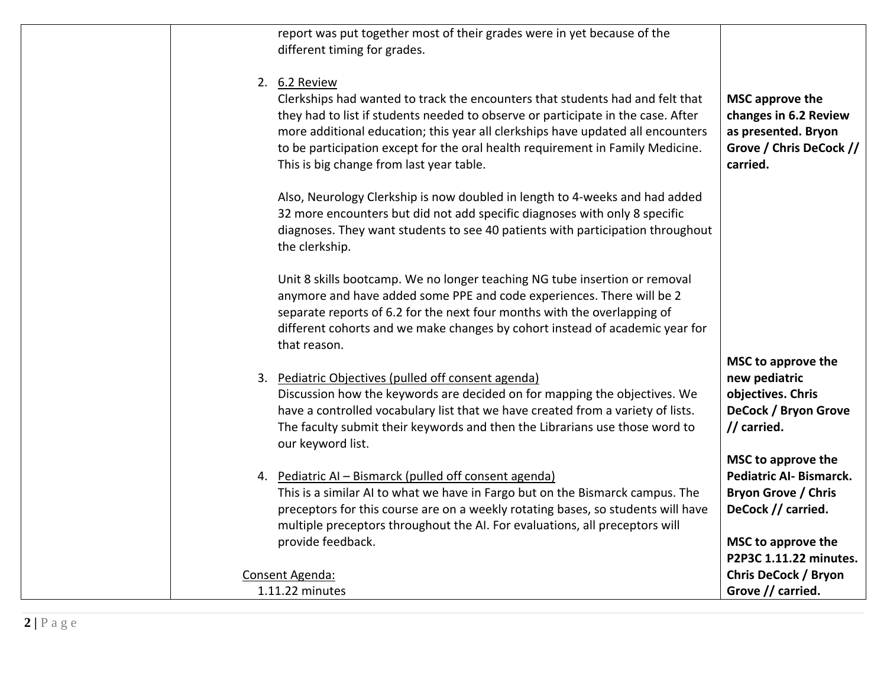| report was put together most of their grades were in yet because of the<br>different timing for grades.                                                                                                                                                                                                                                                                                             |                                                                                                          |
|-----------------------------------------------------------------------------------------------------------------------------------------------------------------------------------------------------------------------------------------------------------------------------------------------------------------------------------------------------------------------------------------------------|----------------------------------------------------------------------------------------------------------|
| 2. 6.2 Review<br>Clerkships had wanted to track the encounters that students had and felt that<br>they had to list if students needed to observe or participate in the case. After<br>more additional education; this year all clerkships have updated all encounters<br>to be participation except for the oral health requirement in Family Medicine.<br>This is big change from last year table. | MSC approve the<br>changes in 6.2 Review<br>as presented. Bryon<br>Grove / Chris DeCock //<br>carried.   |
| Also, Neurology Clerkship is now doubled in length to 4-weeks and had added<br>32 more encounters but did not add specific diagnoses with only 8 specific<br>diagnoses. They want students to see 40 patients with participation throughout<br>the clerkship.                                                                                                                                       |                                                                                                          |
| Unit 8 skills bootcamp. We no longer teaching NG tube insertion or removal<br>anymore and have added some PPE and code experiences. There will be 2<br>separate reports of 6.2 for the next four months with the overlapping of<br>different cohorts and we make changes by cohort instead of academic year for<br>that reason.                                                                     |                                                                                                          |
| 3. Pediatric Objectives (pulled off consent agenda)<br>Discussion how the keywords are decided on for mapping the objectives. We<br>have a controlled vocabulary list that we have created from a variety of lists.<br>The faculty submit their keywords and then the Librarians use those word to<br>our keyword list.                                                                             | MSC to approve the<br>new pediatric<br>objectives. Chris<br>DeCock / Bryon Grove<br>// carried.          |
| 4. Pediatric AI - Bismarck (pulled off consent agenda)<br>This is a similar AI to what we have in Fargo but on the Bismarck campus. The<br>preceptors for this course are on a weekly rotating bases, so students will have<br>multiple preceptors throughout the AI. For evaluations, all preceptors will<br>provide feedback.                                                                     | MSC to approve the<br><b>Pediatric AI- Bismarck.</b><br><b>Bryon Grove / Chris</b><br>DeCock // carried. |
| Consent Agenda:<br>1.11.22 minutes                                                                                                                                                                                                                                                                                                                                                                  | MSC to approve the<br>P2P3C 1.11.22 minutes.<br><b>Chris DeCock / Bryon</b><br>Grove // carried.         |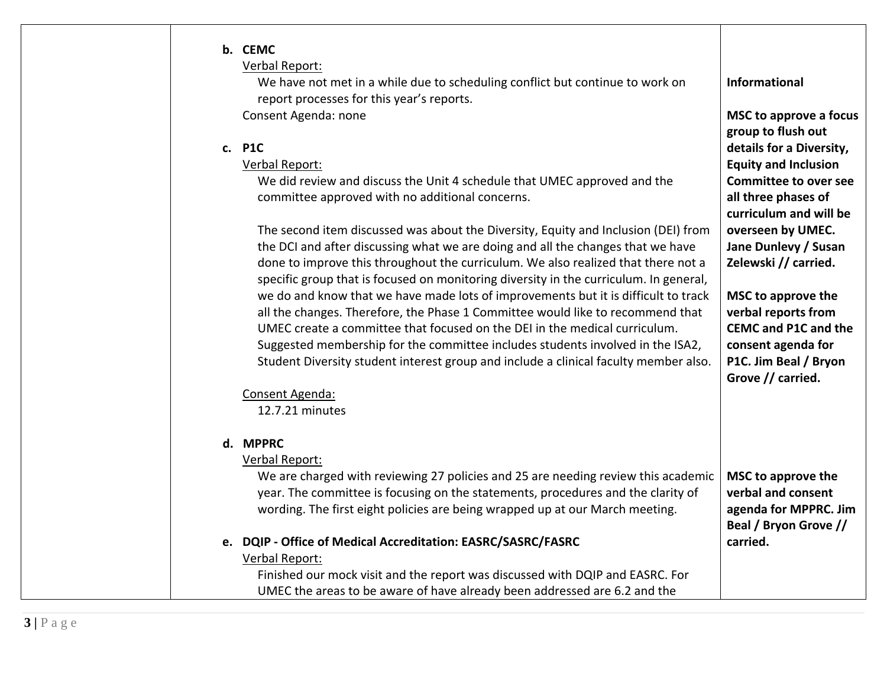| b. CEMC<br>Verbal Report:                                                                                                  |                                                     |
|----------------------------------------------------------------------------------------------------------------------------|-----------------------------------------------------|
| We have not met in a while due to scheduling conflict but continue to work on<br>report processes for this year's reports. | Informational                                       |
| Consent Agenda: none                                                                                                       | <b>MSC to approve a focus</b><br>group to flush out |
| c. P1C                                                                                                                     |                                                     |
|                                                                                                                            | details for a Diversity,                            |
| Verbal Report:                                                                                                             | <b>Equity and Inclusion</b>                         |
| We did review and discuss the Unit 4 schedule that UMEC approved and the                                                   | <b>Committee to over see</b>                        |
| committee approved with no additional concerns.                                                                            | all three phases of                                 |
|                                                                                                                            | curriculum and will be                              |
| The second item discussed was about the Diversity, Equity and Inclusion (DEI) from                                         | overseen by UMEC.                                   |
| the DCI and after discussing what we are doing and all the changes that we have                                            | Jane Dunlevy / Susan                                |
| done to improve this throughout the curriculum. We also realized that there not a                                          | Zelewski // carried.                                |
| specific group that is focused on monitoring diversity in the curriculum. In general,                                      |                                                     |
| we do and know that we have made lots of improvements but it is difficult to track                                         | MSC to approve the                                  |
| all the changes. Therefore, the Phase 1 Committee would like to recommend that                                             | verbal reports from                                 |
| UMEC create a committee that focused on the DEI in the medical curriculum.                                                 | <b>CEMC and P1C and the</b>                         |
|                                                                                                                            |                                                     |
| Suggested membership for the committee includes students involved in the ISA2,                                             | consent agenda for                                  |
| Student Diversity student interest group and include a clinical faculty member also.                                       | P1C. Jim Beal / Bryon<br>Grove // carried.          |
| Consent Agenda:                                                                                                            |                                                     |
| 12.7.21 minutes                                                                                                            |                                                     |
| d. MPPRC                                                                                                                   |                                                     |
| Verbal Report:                                                                                                             |                                                     |
| We are charged with reviewing 27 policies and 25 are needing review this academic                                          | MSC to approve the                                  |
| year. The committee is focusing on the statements, procedures and the clarity of                                           | verbal and consent                                  |
|                                                                                                                            |                                                     |
| wording. The first eight policies are being wrapped up at our March meeting.                                               | agenda for MPPRC. Jim                               |
|                                                                                                                            | Beal / Bryon Grove //                               |
| e. DQIP - Office of Medical Accreditation: EASRC/SASRC/FASRC                                                               | carried.                                            |
| Verbal Report:                                                                                                             |                                                     |
| Finished our mock visit and the report was discussed with DQIP and EASRC. For                                              |                                                     |
| UMEC the areas to be aware of have already been addressed are 6.2 and the                                                  |                                                     |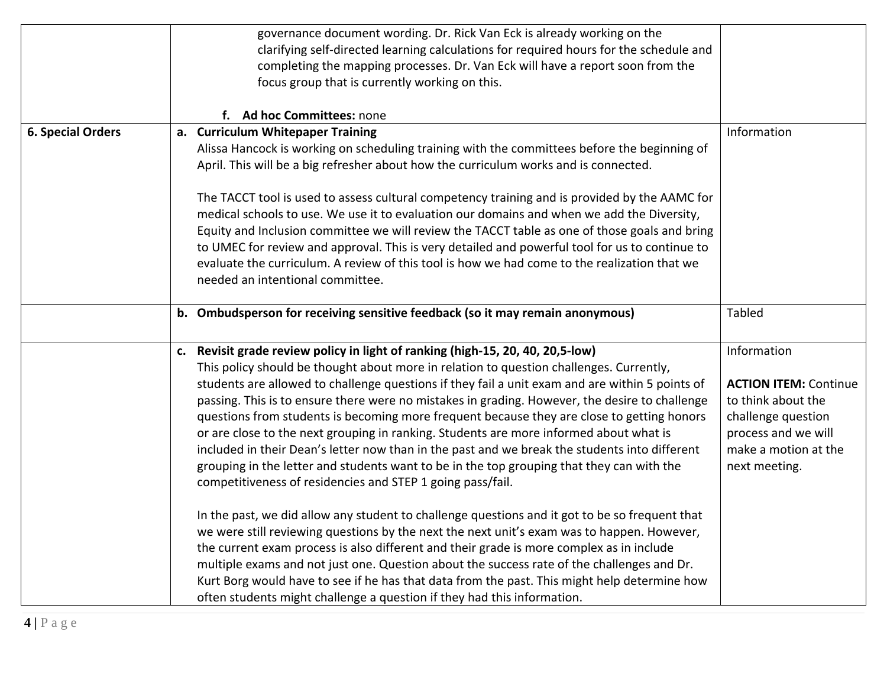|                          | governance document wording. Dr. Rick Van Eck is already working on the<br>clarifying self-directed learning calculations for required hours for the schedule and<br>completing the mapping processes. Dr. Van Eck will have a report soon from the<br>focus group that is currently working on this.<br>f. Ad hoc Committees: none                                                                                                                                                                                                                                                                                                                                                                                                                                                                                                                                                                                                                                                                                                                                                                                                                                                                                                                                                                                                                                                                     |                                                                                                                                                         |
|--------------------------|---------------------------------------------------------------------------------------------------------------------------------------------------------------------------------------------------------------------------------------------------------------------------------------------------------------------------------------------------------------------------------------------------------------------------------------------------------------------------------------------------------------------------------------------------------------------------------------------------------------------------------------------------------------------------------------------------------------------------------------------------------------------------------------------------------------------------------------------------------------------------------------------------------------------------------------------------------------------------------------------------------------------------------------------------------------------------------------------------------------------------------------------------------------------------------------------------------------------------------------------------------------------------------------------------------------------------------------------------------------------------------------------------------|---------------------------------------------------------------------------------------------------------------------------------------------------------|
| <b>6. Special Orders</b> | a. Curriculum Whitepaper Training<br>Alissa Hancock is working on scheduling training with the committees before the beginning of<br>April. This will be a big refresher about how the curriculum works and is connected.<br>The TACCT tool is used to assess cultural competency training and is provided by the AAMC for<br>medical schools to use. We use it to evaluation our domains and when we add the Diversity,<br>Equity and Inclusion committee we will review the TACCT table as one of those goals and bring<br>to UMEC for review and approval. This is very detailed and powerful tool for us to continue to<br>evaluate the curriculum. A review of this tool is how we had come to the realization that we<br>needed an intentional committee.                                                                                                                                                                                                                                                                                                                                                                                                                                                                                                                                                                                                                                         | Information                                                                                                                                             |
|                          | b. Ombudsperson for receiving sensitive feedback (so it may remain anonymous)                                                                                                                                                                                                                                                                                                                                                                                                                                                                                                                                                                                                                                                                                                                                                                                                                                                                                                                                                                                                                                                                                                                                                                                                                                                                                                                           | Tabled                                                                                                                                                  |
|                          | c. Revisit grade review policy in light of ranking (high-15, 20, 40, 20,5-low)<br>This policy should be thought about more in relation to question challenges. Currently,<br>students are allowed to challenge questions if they fail a unit exam and are within 5 points of<br>passing. This is to ensure there were no mistakes in grading. However, the desire to challenge<br>questions from students is becoming more frequent because they are close to getting honors<br>or are close to the next grouping in ranking. Students are more informed about what is<br>included in their Dean's letter now than in the past and we break the students into different<br>grouping in the letter and students want to be in the top grouping that they can with the<br>competitiveness of residencies and STEP 1 going pass/fail.<br>In the past, we did allow any student to challenge questions and it got to be so frequent that<br>we were still reviewing questions by the next the next unit's exam was to happen. However,<br>the current exam process is also different and their grade is more complex as in include<br>multiple exams and not just one. Question about the success rate of the challenges and Dr.<br>Kurt Borg would have to see if he has that data from the past. This might help determine how<br>often students might challenge a question if they had this information. | Information<br><b>ACTION ITEM: Continue</b><br>to think about the<br>challenge question<br>process and we will<br>make a motion at the<br>next meeting. |